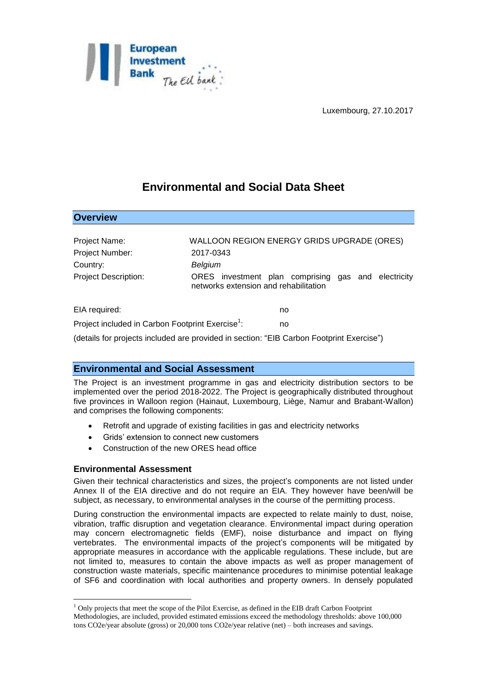

Luxembourg, 27.10.2017

# **Environmental and Social Data Sheet**

| <b>Overview</b>             |                                                                                              |
|-----------------------------|----------------------------------------------------------------------------------------------|
|                             |                                                                                              |
| Project Name:               | WALLOON REGION ENERGY GRIDS UPGRADE (ORES)                                                   |
| Project Number:             | 2017-0343                                                                                    |
| Country:                    | Belgium                                                                                      |
| <b>Project Description:</b> | ORES investment plan comprising gas and electricity<br>networks extension and rehabilitation |
| EIA required:               | no                                                                                           |

Project included in Carbon Footprint Exercise<sup>1</sup>: : no

(details for projects included are provided in section: "EIB Carbon Footprint Exercise")

## **Environmental and Social Assessment**

The Project is an investment programme in gas and electricity distribution sectors to be implemented over the period 2018-2022. The Project is geographically distributed throughout five provinces in Walloon region (Hainaut, Luxembourg, Liège, Namur and Brabant-Wallon) and comprises the following components:

- Retrofit and upgrade of existing facilities in gas and electricity networks
- Grids' extension to connect new customers
- Construction of the new ORES head office

### **Environmental Assessment**

1

Given their technical characteristics and sizes, the project's components are not listed under Annex II of the EIA directive and do not require an EIA. They however have been/will be subject, as necessary, to environmental analyses in the course of the permitting process.

During construction the environmental impacts are expected to relate mainly to dust, noise, vibration, traffic disruption and vegetation clearance. Environmental impact during operation may concern electromagnetic fields (EMF), noise disturbance and impact on flying vertebrates. The environmental impacts of the project's components will be mitigated by appropriate measures in accordance with the applicable regulations. These include, but are not limited to, measures to contain the above impacts as well as proper management of construction waste materials, specific maintenance procedures to minimise potential leakage of SF6 and coordination with local authorities and property owners. In densely populated

 $<sup>1</sup>$  Only projects that meet the scope of the Pilot Exercise, as defined in the EIB draft Carbon Footprint</sup> Methodologies, are included, provided estimated emissions exceed the methodology thresholds: above 100,000 tons CO2e/year absolute (gross) or 20,000 tons CO2e/year relative (net) – both increases and savings.